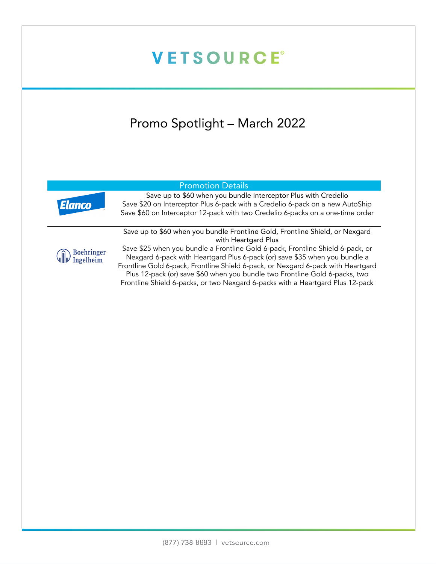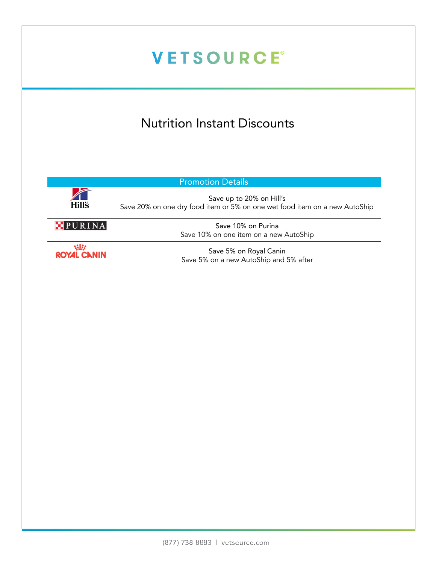# **VETSOURCE®** Nutrition Instant Discounts Promotion Details Hill's Save up to 20% on Hill's Save 20% on one dry food item or 5% on one wet food item on a new AutoShip PURINA Save 10% on Purina Save 10% on one item on a new AutoShip **SER** Save 5% on Royal Canin **ROYAL CANIN** Save 5% on a new AutoShip and 5% after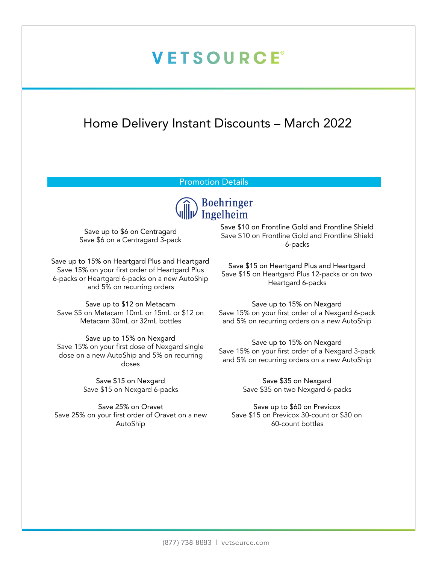### **VETSOURCE®**

#### Home Delivery Instant Discounts – March 2022

#### Promotion Details



Save up to \$6 on Centragard Save \$6 on a Centragard 3-pack

Save up to 15% on Heartgard Plus and Heartgard Save 15% on your first order of Heartgard Plus 6-packs or Heartgard 6-packs on a new AutoShip and 5% on recurring orders

Save up to \$12 on Metacam Save \$5 on Metacam 10mL or 15mL or \$12 on Metacam 30mL or 32mL bottles

Save up to 15% on Nexgard Save 15% on your first dose of Nexgard single dose on a new AutoShip and 5% on recurring doses

> Save \$15 on Nexgard Save \$15 on Nexgard 6-packs

Save 25% on Oravet Save 25% on your first order of Oravet on a new AutoShip

Save \$10 on Frontline Gold and Frontline Shield Save \$10 on Frontline Gold and Frontline Shield 6-packs

Save \$15 on Heartgard Plus and Heartgard Save \$15 on Heartgard Plus 12-packs or on two Heartgard 6-packs

Save up to 15% on Nexgard Save 15% on your first order of a Nexgard 6-pack and 5% on recurring orders on a new AutoShip

Save up to 15% on Nexgard Save 15% on your first order of a Nexgard 3-pack and 5% on recurring orders on a new AutoShip

> Save \$35 on Nexgard Save \$35 on two Nexgard 6-packs

Save up to \$60 on Previcox Save \$15 on Previcox 30-count or \$30 on 60-count bottles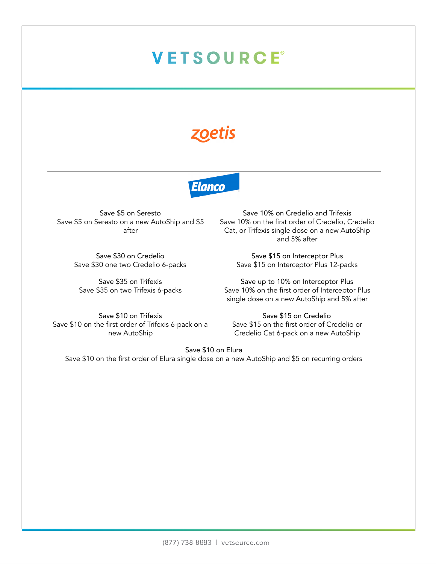# **VETSOURCE®**

#### zoetis



Save \$5 on Seresto Save \$5 on Seresto on a new AutoShip and \$5 after

> Save \$30 on Credelio Save \$30 one two Credelio 6-packs

Save \$35 on Trifexis Save \$35 on two Trifexis 6-packs

Save 10% on Credelio and Trifexis Save 10% on the first order of Credelio, Credelio Cat, or Trifexis single dose on a new AutoShip and 5% after

Save \$15 on Interceptor Plus Save \$15 on Interceptor Plus 12-packs

Save up to 10% on Interceptor Plus Save 10% on the first order of Interceptor Plus single dose on a new AutoShip and 5% after

Save \$10 on Trifexis Save \$10 on the first order of Trifexis 6-pack on a new AutoShip

Save \$15 on Credelio Save \$15 on the first order of Credelio or Credelio Cat 6-pack on a new AutoShip

Save \$10 on Elura

Save \$10 on the first order of Elura single dose on a new AutoShip and \$5 on recurring orders